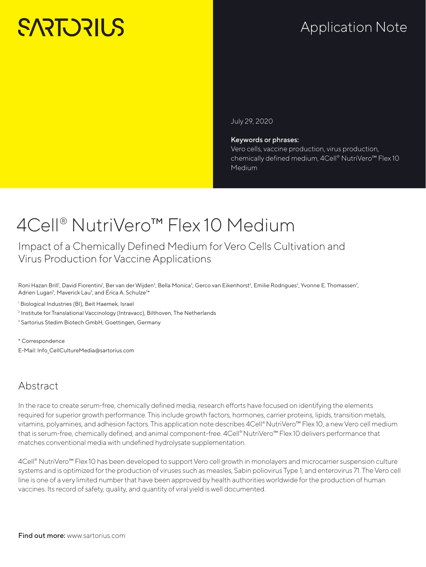# **SARTORILS**

## Application Note

July 29, 2020

#### Keywords or phrases:

Vero cells, vaccine production, virus production, chemically defined medium, 4Cell® NutriVero™ Flex 10 Medium

## 4Cell® NutriVero™ Flex 10 Medium

Impact of a Chemically Defined Medium for Vero Cells Cultivation and Virus Production for Vaccine Applications

Roni Hazan Brill<sup>1</sup>, David Fiorentini<sup>1</sup>, Ber van der Wijden<sup>2</sup>, Bella Monica<sup>2</sup>, Gerco van Eikenhorst<sup>2</sup>, Emilie Rodrigues<sup>2</sup>, Yvonne E. Thomassen<sup>2</sup>, Adrien Lugari<sup>3</sup>, Maverick Lau<sup>3</sup>, and Érica A. Schulze<sup>3\*</sup>

1 Biological Industries (BI), Beit Haemek, Israel

<sup>2</sup> Institute for Translational Vaccinology (Intravacc), Bilthoven, The Netherlands

3 Sartorius Stedim Biotech GmbH, Goettingen, Germany

\* Correspondence E-Mail: Info\_CellCultureMedia@sartorius.com

### Abstract

In the race to create serum-free, chemically defined media, research efforts have focused on identifying the elements required for superior growth performance. This include growth factors, hormones, carrier proteins, lipids, transition metals, vitamins, polyamines, and adhesion factors. This application note describes 4Cell® NutriVero™ Flex 10, a new Vero cell medium that is serum-free, chemically defined, and animal component-free. 4Cell® NutriVero™ Flex 10 delivers performance that matches conventional media with undefined hydrolysate supplementation.

4Cell® NutriVero<sup>™</sup> Flex 10 has been developed to support Vero cell growth in monolayers and microcarrier suspension culture systems and is optimized for the production of viruses such as measles, Sabin poliovirus Type 1, and enterovirus 71. The Vero cell line is one of a very limited number that have been approved by health authorities worldwide for the production of human vaccines. Its record of safety, quality, and quantity of viral yield is well documented.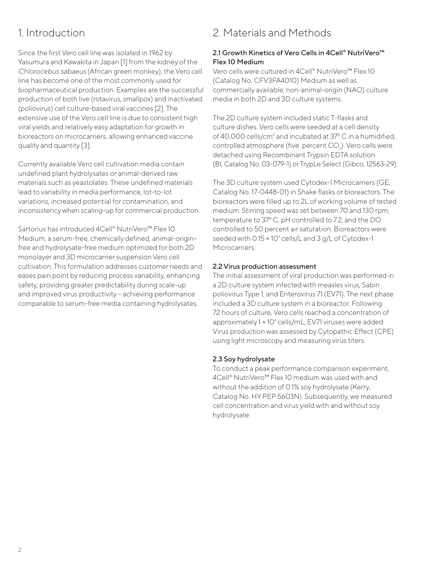## 1. Introduction

Since the first Vero cell line was isolated in 1962 by Yasumura and Kawakita in Japan [1] from the kidney of the *Chlorocebus sabaeus* (African green monkey), the Vero cell line has become one of the most commonly used for biopharmaceutical production. Examples are the successful production of both live (rotavirus, smallpox) and inactivated (poliovirus) cell culture-based viral vaccines [2]. The extensive use of the Vero cell line is due to consistent high viral yields and relatively easy adaptation for growth in bioreactors on microcarriers, allowing enhanced vaccine quality and quantity [3].

Currently available Vero cell cultivation media contain undefined plant hydrolysates or animal-derived raw materials such as yeastolates. These undefined materials lead to variability in media performance, lot-to-lot variations, increased potential for contamination, and inconsistency when scaling-up for commercial production.

Sartorius has introduced 4Cell® NutriVero<sup>™</sup> Flex 10 Medium, a serum-free, chemically defined, animal-origin– free and hydrolysate-free medium optimized for both 2D monolayer and 3D microcarrier suspension Vero cell cultivation. This formulation addresses customer needs and eases pain point by reducing process variability, enhancing safety, providing greater predictability during scale-up and improved virus productivity – achieving performance comparable to serum-free media containing hydrolysates.

## 2. Materials and Methods

#### 2.1 Growth Kinetics of Vero Cells in 4Cell® NutriVero<sup>™</sup> Flex 10 Medium

Vero cells were cultured in 4Cell® NutriVero<sup>™</sup> Flex 10 (Catalog No. CFV3FA4010) Medium as well as commercially available, non-animal-origin (NAO) culture media in both 2D and 3D culture systems.

The 2D culture system included static T-flasks and culture dishes. Vero cells were seeded at a cell density of 40,000 cells/cm<sup>2</sup> and incubated at 37° C in a humidified, controlled atmosphere (five percent CO<sub>2</sub>). Vero cells were detached using Recombinant Trypsin EDTA solution (BI, Catalog No. 03-079-1) or TrypLe Select (Gibco, 12563-29).

The 3D culture system used Cytodex-1 Microcarriers (GE, Catalog No. 17-0448-01) in Shake flasks or bioreactors. The bioreactors were filled up to 2L of working volume of tested medium. Stirring speed was set between 70 and 130 rpm, temperature to 37º C, pH controlled to 7.2, and the DO controlled to 50 percent air saturation. Bioreactors were seeded with  $0.15 \times 10^{\circ}$  cells/L and 3 g/L of Cytodex-1 Microcarriers.

#### 2.2 Virus production assessment

The initial assessment of viral production was performed in a 2D culture system infected with measles virus, Sabin poliovirus Type 1, and Enterovirus 71 (EV71). The next phase included a 3D culture system in a bioreactor. Following 72 hours of culture, Vero cells reached a concentration of approximately 1 × 10<sup>6</sup> cells/mL, EV71 viruses were added. Virus production was assessed by Cytopathic Effect (CPE) using light microscopy and measuring virus titers.

#### 2.3 Soy hydrolysate

To conduct a peak performance comparison experiment, 4Cell® NutriVero™ Flex 10 medium was used with and without the addition of 0.1% soy hydrolysate (Kerry, Catalog No. HY PEP 5603N). Subsequently, we measured cell concentration and virus yield with and without soy hydrolysate.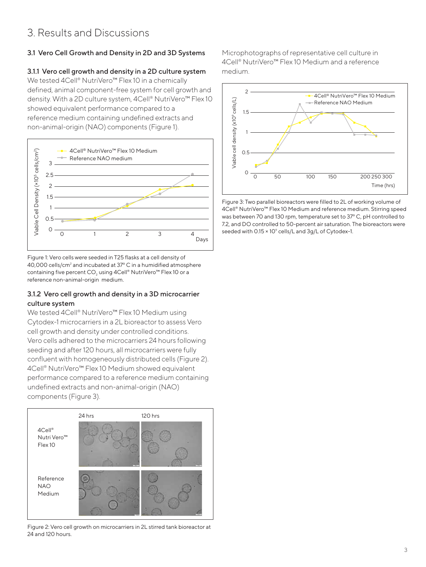## 3. Results and Discussions

#### 3.1 Vero Cell Growth and Density in 2D and 3D Systems

#### 3.1.1 Vero cell growth and density in a 2D culture system

We tested 4Cell® NutriVero™ Flex 10 in a chemically defined, animal component-free system for cell growth and density. With a 2D culture system, 4Cell® NutriVero™ Flex 10 showed equivalent performance compared to a reference medium containing undefined extracts and non-animal-origin (NAO) components (Figure 1).



Figure 1: Vero cells were seeded in T25 flasks at a cell density of  $40,000$  cells/cm<sup>2</sup> and incubated at 37 $^{\circ}$  C in a humidified atmosphere containing five percent CO<sub>2</sub> using 4Cell® NutriVero<sup>™</sup> Flex 10 or a reference non-animal-origin medium.

#### 3.1.2 Vero cell growth and density in a 3D microcarrier culture system

We tested 4Cell® NutriVero™ Flex 10 Medium using Cytodex-1 microcarriers in a 2L bioreactor to assess Vero cell growth and density under controlled conditions. Vero cells adhered to the microcarriers 24 hours following seeding and after 120 hours, all microcarriers were fully confluent with homogeneously distributed cells (Figure 2). 4Cell® NutriVero™ Flex 10 Medium showed equivalent performance compared to a reference medium containing undefined extracts and non-animal-origin (NAO) components (Figure 3).



Figure 2: Vero cell growth on microcarriers in 2L stirred tank bioreactor at 24 and 120 hours.

Microphotographs of representative cell culture in 4Cell® NutriVero™ Flex 10 Medium and a reference medium.



Figure 3: Two parallel bioreactors were filled to 2L of working volume of 4Cell® NutriVero™ Flex 10 Medium and reference medium. Stirring speed was between 70 and 130 rpm, temperature set to 37º C, pH controlled to 7.2, and DO controlled to 50-percent air saturation. The bioreactors were seeded with 0.15 × 10° cells/L and 3g/L of Cytodex-1.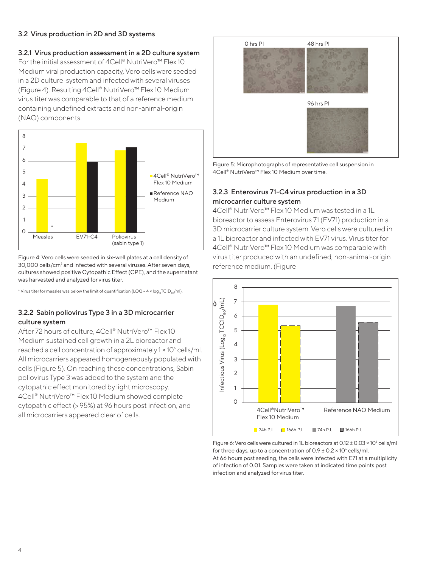#### 3.2 Virus production in 2D and 3D systems

#### 3.2.1 Virus production assessment in a 2D culture system

For the initial assessment of 4Cell® NutriVero™ Flex 10 Medium viral production capacity, Vero cells were seeded in a 2D culture system and infected with several viruses (Figure 4). Resulting 4Cell® NutriVero™ Flex 10 Medium virus titer was comparable to that of a reference medium containing undefined extracts and non-animal-origin (NAO) components.



Figure 4: Vero cells were seeded in six-well plates at a cell density of 30,000 cells/cm<sup>2</sup> and infected with several viruses. After seven days, cultures showed positive Cytopathic Effect (CPE), and the supernatant was harvested and analyzed for virus titer.

\* Virus titer for measles was below the limit of quantification (LOQ =  $4 \times \log_{10}TCD_{so}/m$ ).

#### 3.2.2 Sabin poliovirus Type 3 in a 3D microcarrier culture system

After 72 hours of culture, 4Cell® NutriVero™ Flex 10 Medium sustained cell growth in a 2L bioreactor and reached a cell concentration of approximately 1 × 10<sup>6</sup> cells/ml. All microcarriers appeared homogeneously populated with cells (Figure 5). On reaching these concentrations, Sabin poliovirus Type 3 was added to the system and the cytopathic effect monitored by light microscopy. 4Cell® NutriVero™ Flex 10 Medium showed complete cytopathic effect (>95%) at 96 hours post infection, and all microcarriers appeared clear of cells.



Figure 5: Microphotographs of representative cell suspension in 4Cell® NutriVero™ Flex 10 Medium over time.

#### 3.2.3 Enterovirus 71-C4 virus production in a 3D microcarrier culture system

4Cell® NutriVero™ Flex 10 Medium was tested in a 1L bioreactor to assess Enterovirus 71 (EV71) production in a 3D microcarrier culture system. Vero cells were cultured in a 1L bioreactor and infected with EV71 virus. Virus titer for 4Cell® NutriVero™ Flex 10 Medium was comparable with virus titer produced with an undefined, non-animal-origin reference medium. (Figure



Figure 6: Vero cells were cultured in 1L bioreactors at  $0.12 \pm 0.03 \times 10^6$  cells/ml for three days, up to a concentration of  $0.9 \pm 0.2 \times 10^6$  cells/ml. At 66 hours post seeding, the cells were infected with E71 at a multiplicity of infection of 0.01. Samples were taken at indicated time points post infection and analyzed for virus titer.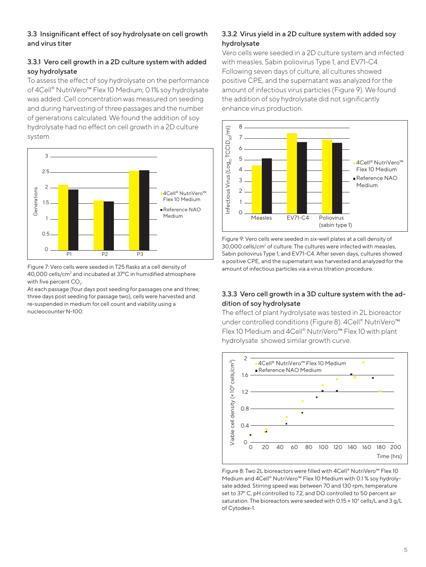#### 3.3 Insignificant effect of soy hydrolysate on cell growth and virus titer

#### 3.3.1 Vero cell growth in a 2D culture system with added soy hydrolysate

To assess the effect of soy hydrolysate on the performance of 4Cell® NutriVero™ Flex 10 Medium, 0.1% soy hydrolysate was added. Cell concentration was measured on seeding and during harvesting of three passages and the number of generations calculated. We found the addition of soy hydrolysate had no effect on cell growth in a 2D culture system.



Figure 7: Vero cells were seeded in T25 flasks at a cell density of  $40,000$  cells/cm<sup>2</sup> and incubated at 37 $\degree$ C in humidified atmosphere with five percent CO<sub>2</sub>.

At each passage (four days post seeding for passages one and three; three days post seeding for passage two), cells were harvested and re-suspended in medium for cell count and viability using a nucleocounter N-100.

#### 3.3.2 Virus yield in a 2D culture system with added soy hydrolysate

Vero cells were seeded in a 2D culture system and infected with measles, Sabin poliovirus Type 1, and EV71-C4. Following seven days of culture, all cultures showed positive CPE, and the supernatant was analyzed for the amount of infectious virus particles (Figure 9). We found the addition of soy hydrolysate did not significantly enhance virus production.



Figure 9: Vero cells were seeded in six-well plates at a cell density of 30,000 cells/cm<sup>2</sup> of culture. The cultures were infected with measles, Sabin poliovirus Type 1, and EV71-C4. After seven days, cultures showed a positive CPE, and the supernatant was harvested and analyzed for the amount of infectious particles via a virus titration procedure.

#### 3.3.3 Vero cell growth in a 3D culture system with the addition of soy hydrolysate

The effect of plant hydrolysate was tested in 2L bioreactor under controlled conditions (Figure 8). 4Cell® NutriVero™ Flex 10 Medium and 4Cell® NutriVero™ Flex 10 with plant hydrolysate showed similar growth curve.



Figure 8: Two 2L bioreactors were filled with 4Cell® NutriVero™ Flex 10 Medium and 4Cell® NutriVero™ Flex 10 Medium with 0.1 % soy hydrolysate added. Stirring speed was between 70 and 130 rpm, temperature set to 37º C, pH controlled to 7.2, and DO controlled to 50 percent air saturation. The bioreactors were seeded with 0.15  $\times$  10 $^{\circ}$  cells/L and 3 g/L of Cytodex-1.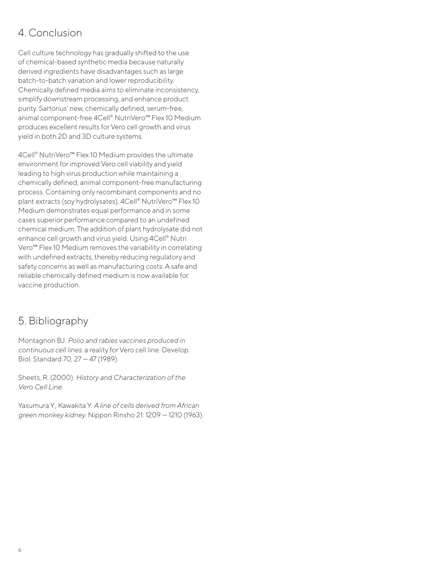## 4. Conclusion

Cell culture technology has gradually shifted to the use of chemical-based synthetic media because naturally derived ingredients have disadvantages such as large batch-to-batch variation and lower reproducibility. Chemically defined media aims to eliminate inconsistency, simplify downstream processing, and enhance product purity. Sartorius' new, chemically defined, serum-free, animal component-free 4Cell® NutriVero™ Flex 10 Medium produces excellent results for Vero cell growth and virus yield in both 2D and 3D culture systems.

4Cell® NutriVero™ Flex 10 Medium provides the ultimate environment for improved Vero cell viability and yield leading to high virus production while maintaining a chemically defined, animal component-free manufacturing process. Containing only recombinant components and no plant extracts (soy hydrolysates), 4Cell® NutriVero<sup>™</sup> Flex 10 Medium demonstrates equal performance and in some cases superior performance compared to an undefined chemical medium. The addition of plant hydrolysate did not enhance cell growth and virus yield. Using 4Cell® Nutri Vero™ Flex 10 Medium removes the variability in correlating with undefined extracts, thereby reducing regulatory and safety concerns as well as manufacturing costs. A safe and reliable chemically defined medium is now available for vaccine production.

### 5. Bibliography

Montagnon BJ. *Polio and rabies vaccines produced in continuous cell lines:* a reality for Vero cell line. Develop. Biol. Standard 70, 27 — 47 (1989).

Sheets, R. (2000). *History and Characterization of the Vero Cell Line.*

Yasumura Y., Kawakita Y. *A line of cells derived from African green monkey kidney.* Nippon Rinsho 21: 1209 — 1210 (1963).